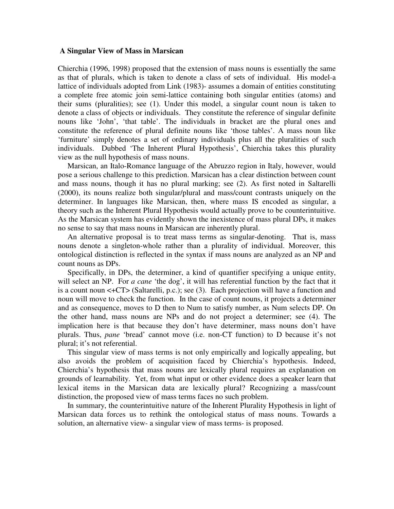## **A Singular View of Mass in Marsican**

Chierchia (1996, 1998) proposed that the extension of mass nouns is essentially the same as that of plurals, which is taken to denote a class of sets of individual. His model-a lattice of individuals adopted from Link (1983)- assumes a domain of entities constituting a complete free atomic join semi-lattice containing both singular entities (atoms) and their sums (pluralities); see (1). Under this model, a singular count noun is taken to denote a class of objects or individuals. They constitute the reference of singular definite nouns like 'John', 'that table'. The individuals in bracket are the plural ones and constitute the reference of plural definite nouns like 'those tables'. A mass noun like 'furniture' simply denotes a set of ordinary individuals plus all the pluralities of such individuals. Dubbed 'The Inherent Plural Hypothesis', Chierchia takes this plurality view as the null hypothesis of mass nouns.

 Marsican, an Italo-Romance language of the Abruzzo region in Italy, however, would pose a serious challenge to this prediction. Marsican has a clear distinction between count and mass nouns, though it has no plural marking; see (2). As first noted in Saltarelli (2000), its nouns realize both singular/plural and mass/count contrasts uniquely on the determiner. In languages like Marsican, then, where mass IS encoded as singular, a theory such as the Inherent Plural Hypothesis would actually prove to be counterintuitive. As the Marsican system has evidently shown the inexistence of mass plural DPs, it makes no sense to say that mass nouns in Marsican are inherently plural.

 An alternative proposal is to treat mass terms as singular-denoting. That is, mass nouns denote a singleton-whole rather than a plurality of individual. Moreover, this ontological distinction is reflected in the syntax if mass nouns are analyzed as an NP and count nouns as DPs.

 Specifically, in DPs, the determiner, a kind of quantifier specifying a unique entity, will select an NP. For *a cane* 'the dog', it will has referential function by the fact that it is a count noun <+CT> (Saltarelli, p.c.); see (3). Each projection will have a function and noun will move to check the function. In the case of count nouns, it projects a determiner and as consequence, moves to D then to Num to satisfy number, as Num selects DP. On the other hand, mass nouns are NPs and do not project a determiner; see (4). The implication here is that because they don't have determiner, mass nouns don't have plurals. Thus, *pane* 'bread' cannot move (i.e. non-CT function) to D because it's not plural; it's not referential.

 This singular view of mass terms is not only empirically and logically appealing, but also avoids the problem of acquisition faced by Chierchia's hypothesis. Indeed, Chierchia's hypothesis that mass nouns are lexically plural requires an explanation on grounds of learnability. Yet, from what input or other evidence does a speaker learn that lexical items in the Marsican data are lexically plural? Recognizing a mass/count distinction, the proposed view of mass terms faces no such problem.

 In summary, the counterintuitive nature of the Inherent Plurality Hypothesis in light of Marsican data forces us to rethink the ontological status of mass nouns. Towards a solution, an alternative view- a singular view of mass terms- is proposed.